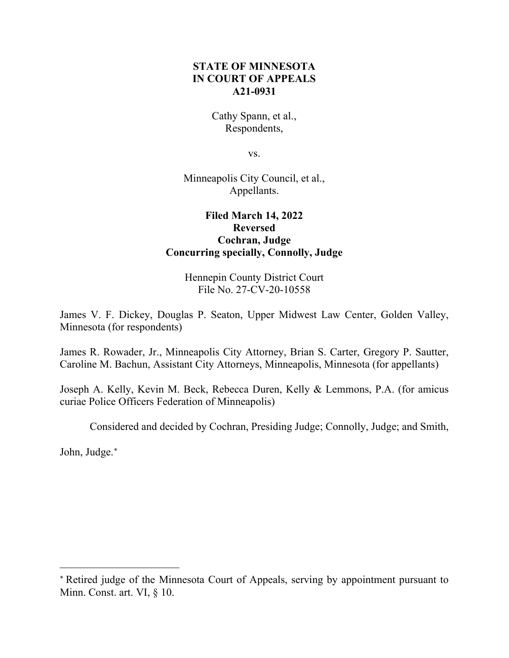# **STATE OF MINNESOTA IN COURT OF APPEALS A21-0931**

Cathy Spann, et al., Respondents,

vs.

Minneapolis City Council, et al., Appellants.

# **Filed March 14, 2022 Reversed Cochran, Judge Concurring specially, Connolly, Judge**

Hennepin County District Court File No. 27-CV-20-10558

James V. F. Dickey, Douglas P. Seaton, Upper Midwest Law Center, Golden Valley, Minnesota (for respondents)

James R. Rowader, Jr., Minneapolis City Attorney, Brian S. Carter, Gregory P. Sautter, Caroline M. Bachun, Assistant City Attorneys, Minneapolis, Minnesota (for appellants)

Joseph A. Kelly, Kevin M. Beck, Rebecca Duren, Kelly & Lemmons, P.A. (for amicus curiae Police Officers Federation of Minneapolis)

Considered and decided by Cochran, Presiding Judge; Connolly, Judge; and Smith,

John, Judge. [∗](#page-0-0)

<span id="page-0-0"></span><sup>∗</sup> Retired judge of the Minnesota Court of Appeals, serving by appointment pursuant to Minn. Const. art. VI, § 10.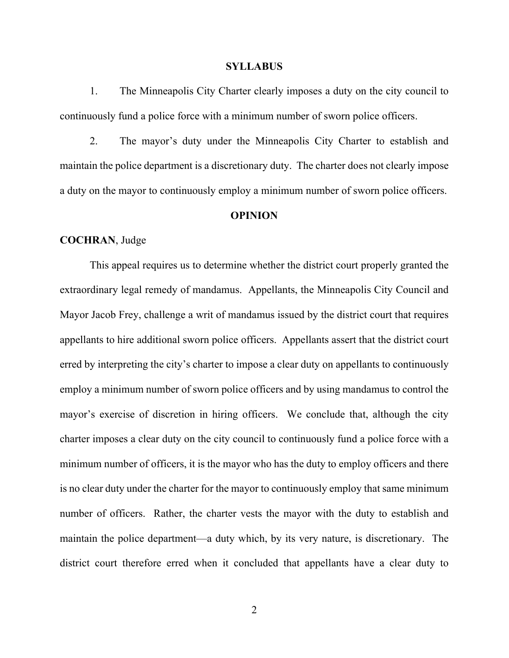#### **SYLLABUS**

1. The Minneapolis City Charter clearly imposes a duty on the city council to continuously fund a police force with a minimum number of sworn police officers.

2. The mayor's duty under the Minneapolis City Charter to establish and maintain the police department is a discretionary duty. The charter does not clearly impose a duty on the mayor to continuously employ a minimum number of sworn police officers.

## **OPINION**

## **COCHRAN**, Judge

This appeal requires us to determine whether the district court properly granted the extraordinary legal remedy of mandamus. Appellants, the Minneapolis City Council and Mayor Jacob Frey, challenge a writ of mandamus issued by the district court that requires appellants to hire additional sworn police officers. Appellants assert that the district court erred by interpreting the city's charter to impose a clear duty on appellants to continuously employ a minimum number of sworn police officers and by using mandamus to control the mayor's exercise of discretion in hiring officers. We conclude that, although the city charter imposes a clear duty on the city council to continuously fund a police force with a minimum number of officers, it is the mayor who has the duty to employ officers and there is no clear duty under the charter for the mayor to continuously employ that same minimum number of officers. Rather, the charter vests the mayor with the duty to establish and maintain the police department—a duty which, by its very nature, is discretionary. The district court therefore erred when it concluded that appellants have a clear duty to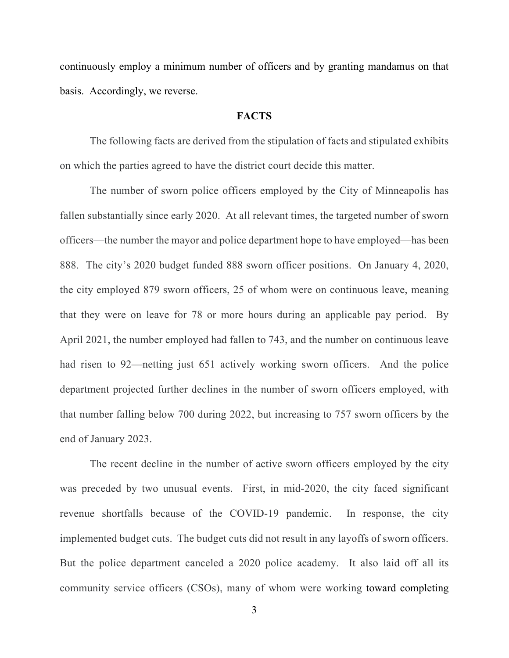continuously employ a minimum number of officers and by granting mandamus on that basis. Accordingly, we reverse.

## **FACTS**

The following facts are derived from the stipulation of facts and stipulated exhibits on which the parties agreed to have the district court decide this matter.

The number of sworn police officers employed by the City of Minneapolis has fallen substantially since early 2020. At all relevant times, the targeted number of sworn officers—the number the mayor and police department hope to have employed—has been 888. The city's 2020 budget funded 888 sworn officer positions. On January 4, 2020, the city employed 879 sworn officers, 25 of whom were on continuous leave, meaning that they were on leave for 78 or more hours during an applicable pay period. By April 2021, the number employed had fallen to 743, and the number on continuous leave had risen to 92—netting just 651 actively working sworn officers. And the police department projected further declines in the number of sworn officers employed, with that number falling below 700 during 2022, but increasing to 757 sworn officers by the end of January 2023.

The recent decline in the number of active sworn officers employed by the city was preceded by two unusual events. First, in mid-2020, the city faced significant revenue shortfalls because of the COVID-19 pandemic. In response, the city implemented budget cuts. The budget cuts did not result in any layoffs of sworn officers. But the police department canceled a 2020 police academy. It also laid off all its community service officers (CSOs), many of whom were working toward completing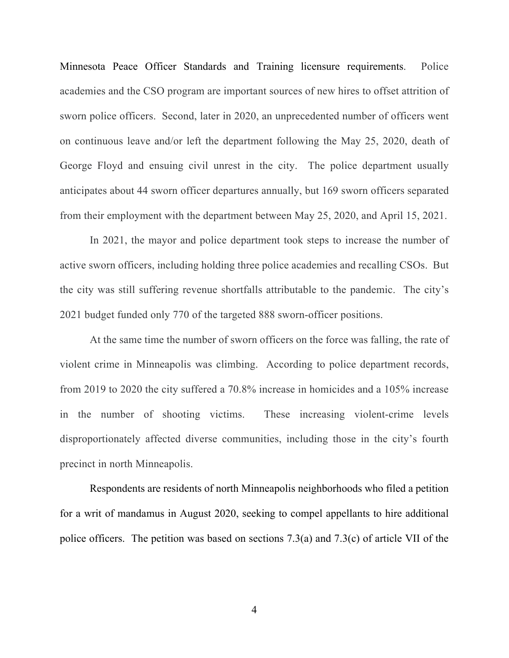Minnesota Peace Officer Standards and Training licensure requirements. Police academies and the CSO program are important sources of new hires to offset attrition of sworn police officers. Second, later in 2020, an unprecedented number of officers went on continuous leave and/or left the department following the May 25, 2020, death of George Floyd and ensuing civil unrest in the city. The police department usually anticipates about 44 sworn officer departures annually, but 169 sworn officers separated from their employment with the department between May 25, 2020, and April 15, 2021.

In 2021, the mayor and police department took steps to increase the number of active sworn officers, including holding three police academies and recalling CSOs. But the city was still suffering revenue shortfalls attributable to the pandemic. The city's 2021 budget funded only 770 of the targeted 888 sworn-officer positions.

At the same time the number of sworn officers on the force was falling, the rate of violent crime in Minneapolis was climbing. According to police department records, from 2019 to 2020 the city suffered a 70.8% increase in homicides and a 105% increase in the number of shooting victims. These increasing violent-crime levels disproportionately affected diverse communities, including those in the city's fourth precinct in north Minneapolis.

Respondents are residents of north Minneapolis neighborhoods who filed a petition for a writ of mandamus in August 2020, seeking to compel appellants to hire additional police officers. The petition was based on sections 7.3(a) and 7.3(c) of article VII of the

4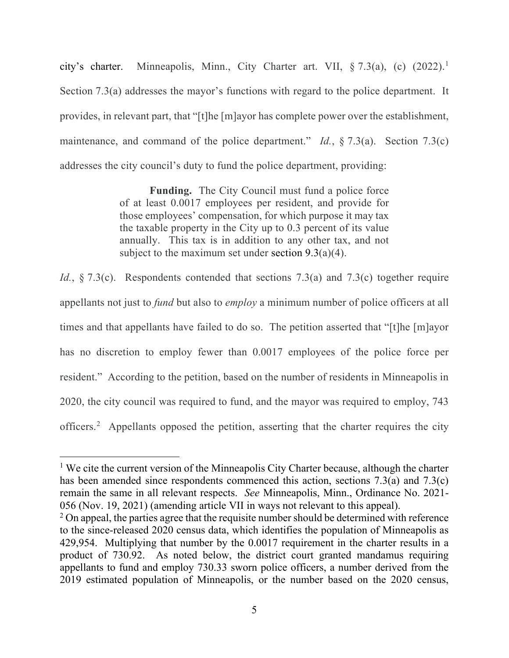city's charter. Minneapolis, Minn., City Charter art. VII,  $\S 7.3(a)$ , (c)  $(2022).$ <sup>[1](#page-4-0)</sup> Section 7.3(a) addresses the mayor's functions with regard to the police department. It provides, in relevant part, that "[t]he [m]ayor has complete power over the establishment, maintenance, and command of the police department." *Id.*, § 7.3(a). Section 7.3(c) addresses the city council's duty to fund the police department, providing:

> **Funding.** The City Council must fund a police force of at least 0.0017 employees per resident, and provide for those employees' compensation, for which purpose it may tax the taxable property in the City up to 0.3 percent of its value annually. This tax is in addition to any other tax, and not subject to the maximum set under section  $9.3(a)(4)$ .

*Id.*, § 7.3(c). Respondents contended that sections 7.3(a) and 7.3(c) together require appellants not just to *fund* but also to *employ* a minimum number of police officers at all times and that appellants have failed to do so. The petition asserted that "[t]he [m]ayor has no discretion to employ fewer than 0.0017 employees of the police force per resident." According to the petition, based on the number of residents in Minneapolis in 2020, the city council was required to fund, and the mayor was required to employ, 743 officers.<sup>[2](#page-4-1)</sup> Appellants opposed the petition, asserting that the charter requires the city

<span id="page-4-0"></span><sup>&</sup>lt;sup>1</sup> We cite the current version of the Minneapolis City Charter because, although the charter has been amended since respondents commenced this action, sections 7.3(a) and 7.3(c) remain the same in all relevant respects. *See* Minneapolis, Minn., Ordinance No. 2021- 056 (Nov. 19, 2021) (amending article VII in ways not relevant to this appeal).<br><sup>2</sup> On appeal, the parties agree that the requisite number should be determined with reference

<span id="page-4-1"></span>to the since-released 2020 census data, which identifies the population of Minneapolis as 429,954. Multiplying that number by the 0.0017 requirement in the charter results in a product of 730.92. As noted below, the district court granted mandamus requiring appellants to fund and employ 730.33 sworn police officers, a number derived from the 2019 estimated population of Minneapolis, or the number based on the 2020 census,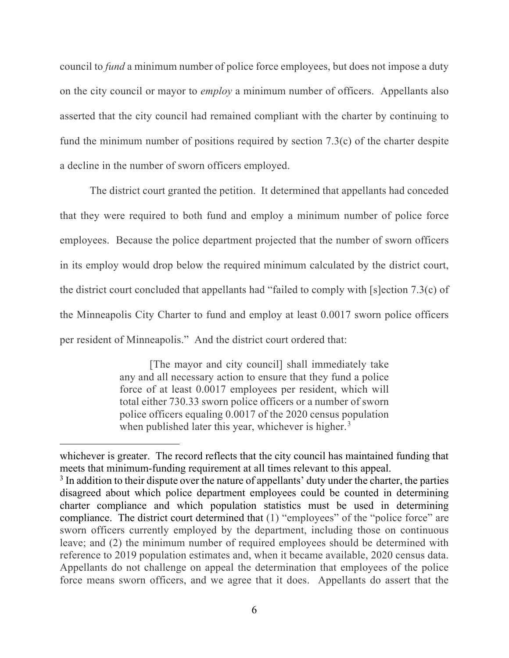council to *fund* a minimum number of police force employees, but does not impose a duty on the city council or mayor to *employ* a minimum number of officers. Appellants also asserted that the city council had remained compliant with the charter by continuing to fund the minimum number of positions required by section 7.3(c) of the charter despite a decline in the number of sworn officers employed.

The district court granted the petition. It determined that appellants had conceded that they were required to both fund and employ a minimum number of police force employees. Because the police department projected that the number of sworn officers in its employ would drop below the required minimum calculated by the district court, the district court concluded that appellants had "failed to comply with [s]ection 7.3(c) of the Minneapolis City Charter to fund and employ at least 0.0017 sworn police officers per resident of Minneapolis." And the district court ordered that:

> [The mayor and city council] shall immediately take any and all necessary action to ensure that they fund a police force of at least 0.0017 employees per resident, which will total either 730.33 sworn police officers or a number of sworn police officers equaling 0.0017 of the 2020 census population when published later this year, whichever is higher.<sup>[3](#page-5-0)</sup>

whichever is greater. The record reflects that the city council has maintained funding that meets that minimum-funding requirement at all times relevant to this appeal.

<span id="page-5-0"></span> $3$  In addition to their dispute over the nature of appellants' duty under the charter, the parties disagreed about which police department employees could be counted in determining charter compliance and which population statistics must be used in determining compliance. The district court determined that (1) "employees" of the "police force" are sworn officers currently employed by the department, including those on continuous leave; and (2) the minimum number of required employees should be determined with reference to 2019 population estimates and, when it became available, 2020 census data. Appellants do not challenge on appeal the determination that employees of the police force means sworn officers, and we agree that it does. Appellants do assert that the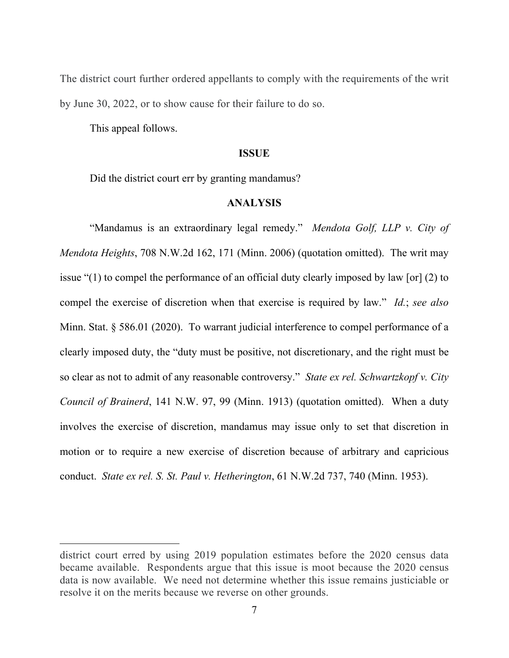The district court further ordered appellants to comply with the requirements of the writ by June 30, 2022, or to show cause for their failure to do so.

This appeal follows.

#### **ISSUE**

Did the district court err by granting mandamus?

# **ANALYSIS**

"Mandamus is an extraordinary legal remedy." *Mendota Golf, LLP v. City of Mendota Heights*, 708 N.W.2d 162, 171 (Minn. 2006) (quotation omitted). The writ may issue "(1) to compel the performance of an official duty clearly imposed by law [or] (2) to compel the exercise of discretion when that exercise is required by law." *Id.*; *see also*  Minn. Stat. § 586.01 (2020). To warrant judicial interference to compel performance of a clearly imposed duty, the "duty must be positive, not discretionary, and the right must be so clear as not to admit of any reasonable controversy." *State ex rel. Schwartzkopf v. City Council of Brainerd*, 141 N.W. 97, 99 (Minn. 1913) (quotation omitted). When a duty involves the exercise of discretion, mandamus may issue only to set that discretion in motion or to require a new exercise of discretion because of arbitrary and capricious conduct. *State ex rel. S. St. Paul v. Hetherington*, 61 N.W.2d 737, 740 (Minn. 1953).

district court erred by using 2019 population estimates before the 2020 census data became available. Respondents argue that this issue is moot because the 2020 census data is now available. We need not determine whether this issue remains justiciable or resolve it on the merits because we reverse on other grounds.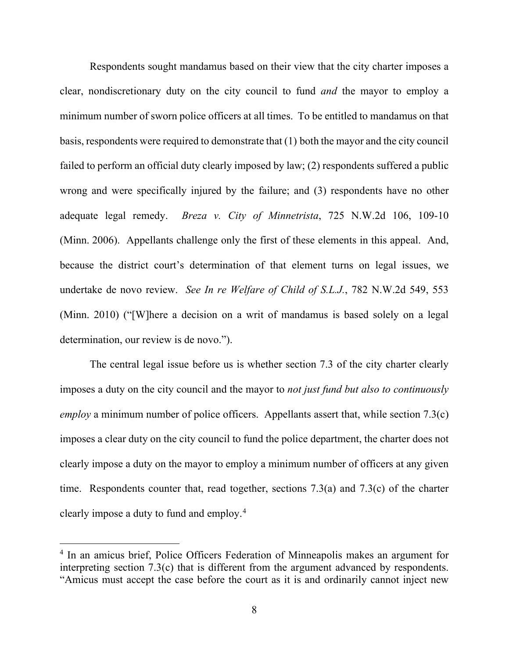Respondents sought mandamus based on their view that the city charter imposes a clear, nondiscretionary duty on the city council to fund *and* the mayor to employ a minimum number of sworn police officers at all times. To be entitled to mandamus on that basis, respondents were required to demonstrate that (1) both the mayor and the city council failed to perform an official duty clearly imposed by law; (2) respondents suffered a public wrong and were specifically injured by the failure; and (3) respondents have no other adequate legal remedy. *Breza v. City of Minnetrista*, 725 N.W.2d 106, 109-10 (Minn. 2006). Appellants challenge only the first of these elements in this appeal. And, because the district court's determination of that element turns on legal issues, we undertake de novo review. *See In re Welfare of Child of S.L.J.*, 782 N.W.2d 549, 553 (Minn. 2010) ("[W]here a decision on a writ of mandamus is based solely on a legal determination, our review is de novo.").

The central legal issue before us is whether section 7.3 of the city charter clearly imposes a duty on the city council and the mayor to *not just fund but also to continuously employ* a minimum number of police officers. Appellants assert that, while section 7.3(c) imposes a clear duty on the city council to fund the police department, the charter does not clearly impose a duty on the mayor to employ a minimum number of officers at any given time. Respondents counter that, read together, sections 7.3(a) and 7.3(c) of the charter clearly impose a duty to fund and employ. [4](#page-7-0)

<span id="page-7-0"></span><sup>4</sup> In an amicus brief, Police Officers Federation of Minneapolis makes an argument for interpreting section 7.3(c) that is different from the argument advanced by respondents. "Amicus must accept the case before the court as it is and ordinarily cannot inject new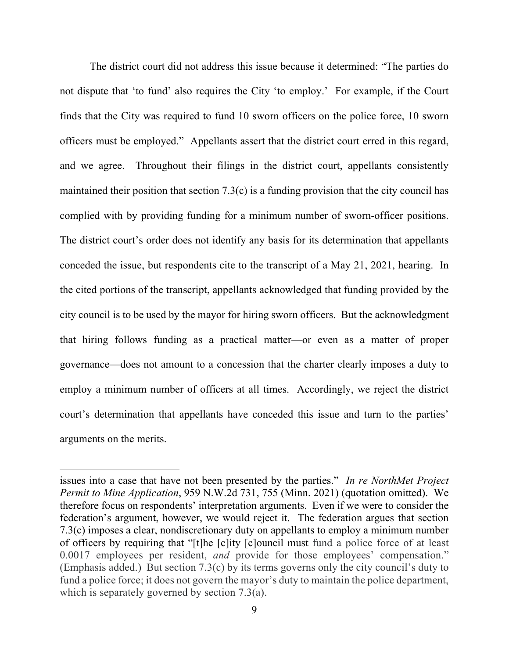The district court did not address this issue because it determined: "The parties do not dispute that 'to fund' also requires the City 'to employ.' For example, if the Court finds that the City was required to fund 10 sworn officers on the police force, 10 sworn officers must be employed." Appellants assert that the district court erred in this regard, and we agree. Throughout their filings in the district court, appellants consistently maintained their position that section 7.3(c) is a funding provision that the city council has complied with by providing funding for a minimum number of sworn-officer positions. The district court's order does not identify any basis for its determination that appellants conceded the issue, but respondents cite to the transcript of a May 21, 2021, hearing. In the cited portions of the transcript, appellants acknowledged that funding provided by the city council is to be used by the mayor for hiring sworn officers. But the acknowledgment that hiring follows funding as a practical matter—or even as a matter of proper governance—does not amount to a concession that the charter clearly imposes a duty to employ a minimum number of officers at all times. Accordingly, we reject the district court's determination that appellants have conceded this issue and turn to the parties' arguments on the merits.

issues into a case that have not been presented by the parties." *In re NorthMet Project Permit to Mine Application*, 959 N.W.2d 731, 755 (Minn. 2021) (quotation omitted). We therefore focus on respondents' interpretation arguments. Even if we were to consider the federation's argument, however, we would reject it. The federation argues that section 7.3(c) imposes a clear, nondiscretionary duty on appellants to employ a minimum number of officers by requiring that "[t]he [c]ity [c]ouncil must fund a police force of at least 0.0017 employees per resident, *and* provide for those employees' compensation." (Emphasis added.) But section 7.3(c) by its terms governs only the city council's duty to fund a police force; it does not govern the mayor's duty to maintain the police department, which is separately governed by section 7.3(a).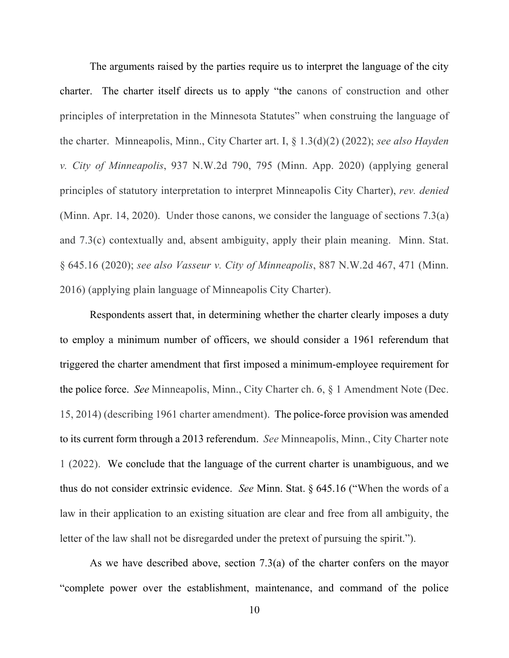The arguments raised by the parties require us to interpret the language of the city charter. The charter itself directs us to apply "the canons of construction and other principles of interpretation in the Minnesota Statutes" when construing the language of the charter. Minneapolis, Minn., City Charter art. I, § 1.3(d)(2) (2022); *see also Hayden v. City of Minneapolis*, 937 N.W.2d 790, 795 (Minn. App. 2020) (applying general principles of statutory interpretation to interpret Minneapolis City Charter), *rev. denied* (Minn. Apr. 14, 2020). Under those canons, we consider the language of sections 7.3(a) and 7.3(c) contextually and, absent ambiguity, apply their plain meaning. Minn. Stat. § 645.16 (2020); *see also Vasseur v. City of Minneapolis*, 887 N.W.2d 467, 471 (Minn. 2016) (applying plain language of Minneapolis City Charter).

Respondents assert that, in determining whether the charter clearly imposes a duty to employ a minimum number of officers, we should consider a 1961 referendum that triggered the charter amendment that first imposed a minimum-employee requirement for the police force. *See* Minneapolis, Minn., City Charter ch. 6, § 1 Amendment Note (Dec. 15, 2014) (describing 1961 charter amendment). The police-force provision was amended to its current form through a 2013 referendum. *See* Minneapolis, Minn., City Charter note 1 (2022). We conclude that the language of the current charter is unambiguous, and we thus do not consider extrinsic evidence. *See* Minn. Stat. § 645.16 ("When the words of a law in their application to an existing situation are clear and free from all ambiguity, the letter of the law shall not be disregarded under the pretext of pursuing the spirit.").

As we have described above, section 7.3(a) of the charter confers on the mayor "complete power over the establishment, maintenance, and command of the police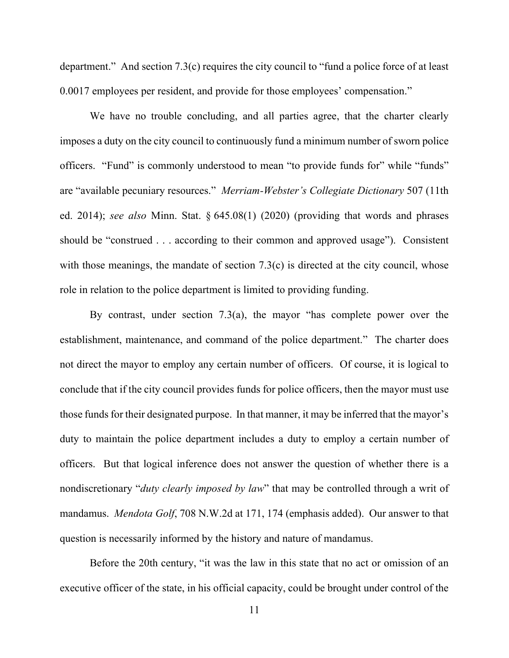department." And section 7.3(c) requires the city council to "fund a police force of at least 0.0017 employees per resident, and provide for those employees' compensation."

We have no trouble concluding, and all parties agree, that the charter clearly imposes a duty on the city council to continuously fund a minimum number of sworn police officers. "Fund" is commonly understood to mean "to provide funds for" while "funds" are "available pecuniary resources." *Merriam-Webster's Collegiate Dictionary* 507 (11th ed. 2014); *see also* Minn. Stat. § 645.08(1) (2020) (providing that words and phrases should be "construed . . . according to their common and approved usage"). Consistent with those meanings, the mandate of section 7.3(c) is directed at the city council, whose role in relation to the police department is limited to providing funding.

By contrast, under section 7.3(a), the mayor "has complete power over the establishment, maintenance, and command of the police department." The charter does not direct the mayor to employ any certain number of officers. Of course, it is logical to conclude that if the city council provides funds for police officers, then the mayor must use those funds for their designated purpose. In that manner, it may be inferred that the mayor's duty to maintain the police department includes a duty to employ a certain number of officers. But that logical inference does not answer the question of whether there is a nondiscretionary "*duty clearly imposed by law*" that may be controlled through a writ of mandamus. *Mendota Golf*, 708 N.W.2d at 171, 174 (emphasis added). Our answer to that question is necessarily informed by the history and nature of mandamus.

Before the 20th century, "it was the law in this state that no act or omission of an executive officer of the state, in his official capacity, could be brought under control of the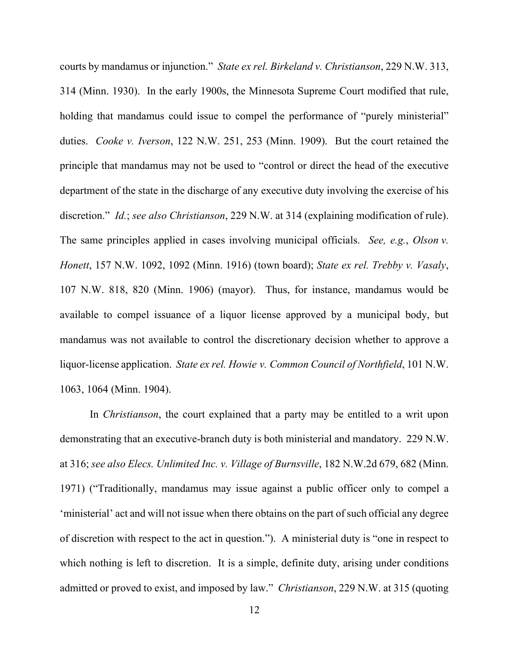courts by mandamus or injunction." *State ex rel. Birkeland v. Christianson*, 229 N.W. 313, 314 (Minn. 1930). In the early 1900s, the Minnesota Supreme Court modified that rule, holding that mandamus could issue to compel the performance of "purely ministerial" duties. *Cooke v. Iverson*, 122 N.W. 251, 253 (Minn. 1909). But the court retained the principle that mandamus may not be used to "control or direct the head of the executive department of the state in the discharge of any executive duty involving the exercise of his discretion." *Id.*; *see also Christianson*, 229 N.W. at 314 (explaining modification of rule). The same principles applied in cases involving municipal officials. *See, e.g.*, *Olson v. Honett*, 157 N.W. 1092, 1092 (Minn. 1916) (town board); *State ex rel. Trebby v. Vasaly*, 107 N.W. 818, 820 (Minn. 1906) (mayor). Thus, for instance, mandamus would be available to compel issuance of a liquor license approved by a municipal body, but mandamus was not available to control the discretionary decision whether to approve a liquor-license application. *State ex rel. Howie v. Common Council of Northfield*, 101 N.W. 1063, 1064 (Minn. 1904).

In *Christianson*, the court explained that a party may be entitled to a writ upon demonstrating that an executive-branch duty is both ministerial and mandatory. 229 N.W. at 316; *see also Elecs. Unlimited Inc. v. Village of Burnsville*, 182 N.W.2d 679, 682 (Minn. 1971) ("Traditionally, mandamus may issue against a public officer only to compel a 'ministerial' act and will not issue when there obtains on the part of such official any degree of discretion with respect to the act in question."). A ministerial duty is "one in respect to which nothing is left to discretion. It is a simple, definite duty, arising under conditions admitted or proved to exist, and imposed by law." *Christianson*, 229 N.W. at 315 (quoting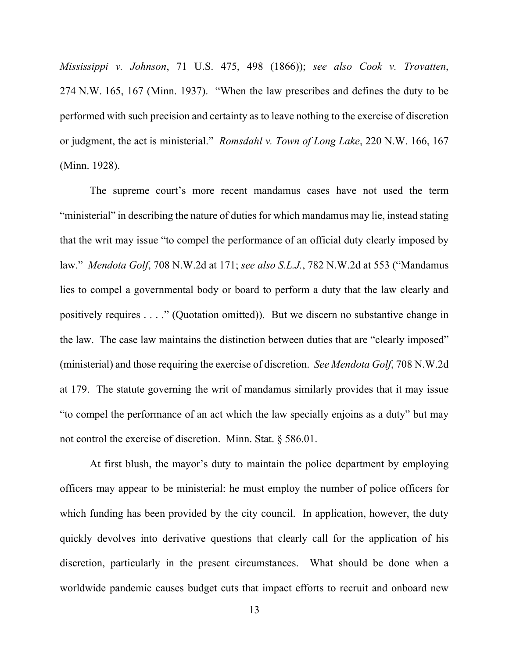*Mississippi v. Johnson*, 71 U.S. 475, 498 (1866)); *see also Cook v. Trovatten*, 274 N.W. 165, 167 (Minn. 1937). "When the law prescribes and defines the duty to be performed with such precision and certainty as to leave nothing to the exercise of discretion or judgment, the act is ministerial." *Romsdahl v. Town of Long Lake*, 220 N.W. 166, 167 (Minn. 1928).

The supreme court's more recent mandamus cases have not used the term "ministerial" in describing the nature of duties for which mandamus may lie, instead stating that the writ may issue "to compel the performance of an official duty clearly imposed by law." *Mendota Golf*, 708 N.W.2d at 171; *see also S.L.J.*, 782 N.W.2d at 553 ("Mandamus lies to compel a governmental body or board to perform a duty that the law clearly and positively requires . . . ." (Quotation omitted)). But we discern no substantive change in the law. The case law maintains the distinction between duties that are "clearly imposed" (ministerial) and those requiring the exercise of discretion. *See Mendota Golf*, 708 N.W.2d at 179.The statute governing the writ of mandamus similarly provides that it may issue "to compel the performance of an act which the law specially enjoins as a duty" but may not control the exercise of discretion. Minn. Stat. § 586.01.

At first blush, the mayor's duty to maintain the police department by employing officers may appear to be ministerial: he must employ the number of police officers for which funding has been provided by the city council. In application, however, the duty quickly devolves into derivative questions that clearly call for the application of his discretion, particularly in the present circumstances. What should be done when a worldwide pandemic causes budget cuts that impact efforts to recruit and onboard new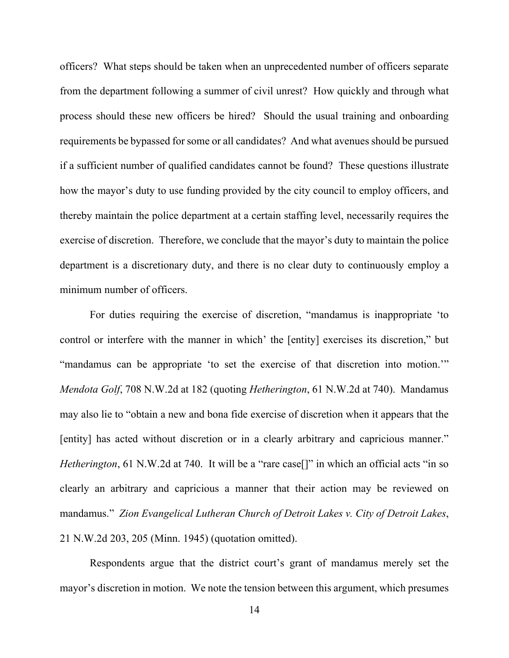officers? What steps should be taken when an unprecedented number of officers separate from the department following a summer of civil unrest? How quickly and through what process should these new officers be hired? Should the usual training and onboarding requirements be bypassed for some or all candidates? And what avenues should be pursued if a sufficient number of qualified candidates cannot be found? These questions illustrate how the mayor's duty to use funding provided by the city council to employ officers, and thereby maintain the police department at a certain staffing level, necessarily requires the exercise of discretion. Therefore, we conclude that the mayor's duty to maintain the police department is a discretionary duty, and there is no clear duty to continuously employ a minimum number of officers.

For duties requiring the exercise of discretion, "mandamus is inappropriate 'to control or interfere with the manner in which' the [entity] exercises its discretion," but "mandamus can be appropriate 'to set the exercise of that discretion into motion.'" *Mendota Golf*, 708 N.W.2d at 182 (quoting *Hetherington*, 61 N.W.2d at 740). Mandamus may also lie to "obtain a new and bona fide exercise of discretion when it appears that the [entity] has acted without discretion or in a clearly arbitrary and capricious manner." *Hetherington*, 61 N.W.2d at 740. It will be a "rare case<sup>[]"</sup> in which an official acts "in so clearly an arbitrary and capricious a manner that their action may be reviewed on mandamus." *Zion Evangelical Lutheran Church of Detroit Lakes v. City of Detroit Lakes*, 21 N.W.2d 203, 205 (Minn. 1945) (quotation omitted).

Respondents argue that the district court's grant of mandamus merely set the mayor's discretion in motion. We note the tension between this argument, which presumes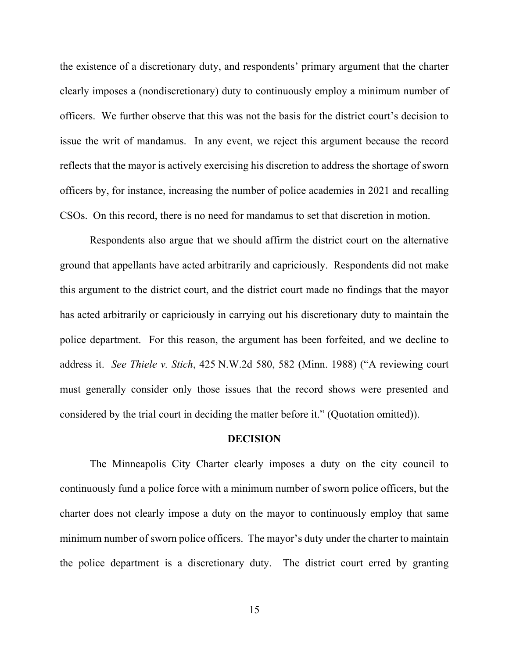the existence of a discretionary duty, and respondents' primary argument that the charter clearly imposes a (nondiscretionary) duty to continuously employ a minimum number of officers. We further observe that this was not the basis for the district court's decision to issue the writ of mandamus. In any event, we reject this argument because the record reflects that the mayor is actively exercising his discretion to address the shortage of sworn officers by, for instance, increasing the number of police academies in 2021 and recalling CSOs. On this record, there is no need for mandamus to set that discretion in motion.

Respondents also argue that we should affirm the district court on the alternative ground that appellants have acted arbitrarily and capriciously. Respondents did not make this argument to the district court, and the district court made no findings that the mayor has acted arbitrarily or capriciously in carrying out his discretionary duty to maintain the police department. For this reason, the argument has been forfeited, and we decline to address it. *See Thiele v. Stich*, 425 N.W.2d 580, 582 (Minn. 1988) ("A reviewing court must generally consider only those issues that the record shows were presented and considered by the trial court in deciding the matter before it." (Quotation omitted)).

#### **DECISION**

The Minneapolis City Charter clearly imposes a duty on the city council to continuously fund a police force with a minimum number of sworn police officers, but the charter does not clearly impose a duty on the mayor to continuously employ that same minimum number of sworn police officers. The mayor's duty under the charter to maintain the police department is a discretionary duty. The district court erred by granting

15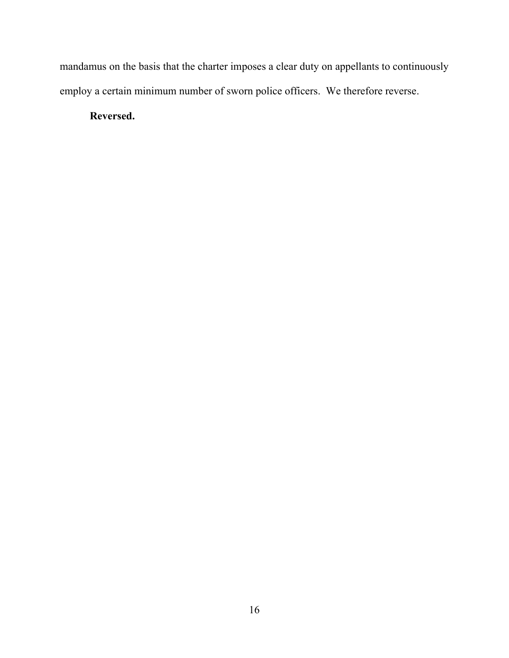mandamus on the basis that the charter imposes a clear duty on appellants to continuously employ a certain minimum number of sworn police officers. We therefore reverse.

**Reversed.**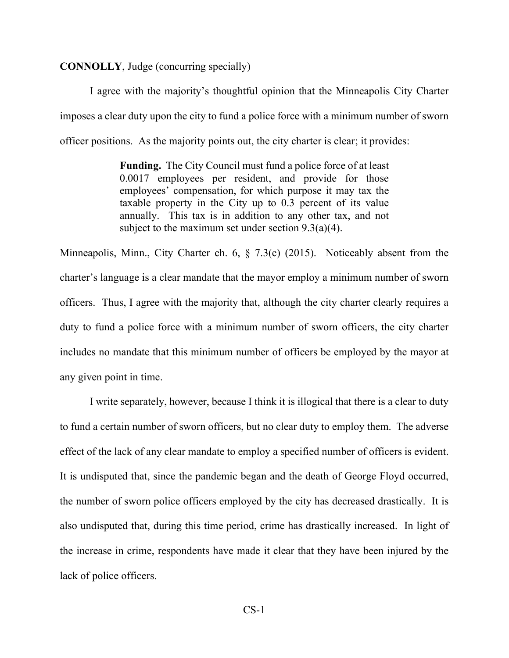# **CONNOLLY**, Judge (concurring specially)

I agree with the majority's thoughtful opinion that the Minneapolis City Charter imposes a clear duty upon the city to fund a police force with a minimum number of sworn officer positions. As the majority points out, the city charter is clear; it provides:

> **Funding.** The City Council must fund a police force of at least 0.0017 employees per resident, and provide for those employees' compensation, for which purpose it may tax the taxable property in the City up to 0.3 percent of its value annually. This tax is in addition to any other tax, and not subject to the maximum set under section  $9.3(a)(4)$ .

Minneapolis, Minn., City Charter ch. 6, § 7.3(c) (2015). Noticeably absent from the charter's language is a clear mandate that the mayor employ a minimum number of sworn officers. Thus, I agree with the majority that, although the city charter clearly requires a duty to fund a police force with a minimum number of sworn officers, the city charter includes no mandate that this minimum number of officers be employed by the mayor at any given point in time.

I write separately, however, because I think it is illogical that there is a clear to duty to fund a certain number of sworn officers, but no clear duty to employ them. The adverse effect of the lack of any clear mandate to employ a specified number of officers is evident. It is undisputed that, since the pandemic began and the death of George Floyd occurred, the number of sworn police officers employed by the city has decreased drastically. It is also undisputed that, during this time period, crime has drastically increased. In light of the increase in crime, respondents have made it clear that they have been injured by the lack of police officers.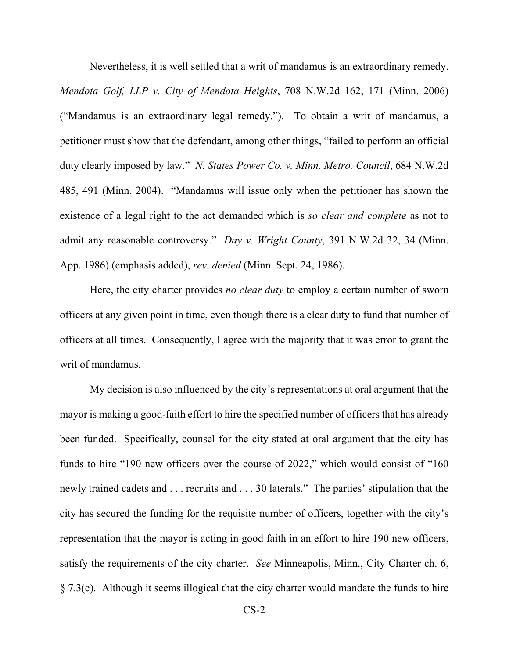Nevertheless, it is well settled that a writ of mandamus is an extraordinary remedy. *Mendota Golf, LLP v. City of Mendota Heights*, 708 N.W.2d 162, 171 (Minn. 2006) ("Mandamus is an extraordinary legal remedy."). To obtain a writ of mandamus, a petitioner must show that the defendant, among other things, "failed to perform an official duty clearly imposed by law." *N. States Power Co. v. Minn. Metro. Council*, 684 N.W.2d 485, 491 (Minn. 2004). "Mandamus will issue only when the petitioner has shown the existence of a legal right to the act demanded which is *so clear and complete* as not to admit any reasonable controversy." *Day v. Wright County*, 391 N.W.2d 32, 34 (Minn. App. 1986) (emphasis added), *rev. denied* (Minn. Sept. 24, 1986).

Here, the city charter provides *no clear duty* to employ a certain number of sworn officers at any given point in time, even though there is a clear duty to fund that number of officers at all times. Consequently, I agree with the majority that it was error to grant the writ of mandamus.

My decision is also influenced by the city's representations at oral argument that the mayor is making a good-faith effort to hire the specified number of officers that has already been funded. Specifically, counsel for the city stated at oral argument that the city has funds to hire "190 new officers over the course of 2022," which would consist of "160 newly trained cadets and . . . recruits and . . . 30 laterals." The parties' stipulation that the city has secured the funding for the requisite number of officers, together with the city's representation that the mayor is acting in good faith in an effort to hire 190 new officers, satisfy the requirements of the city charter. *See* Minneapolis, Minn., City Charter ch. 6, § 7.3(c). Although it seems illogical that the city charter would mandate the funds to hire